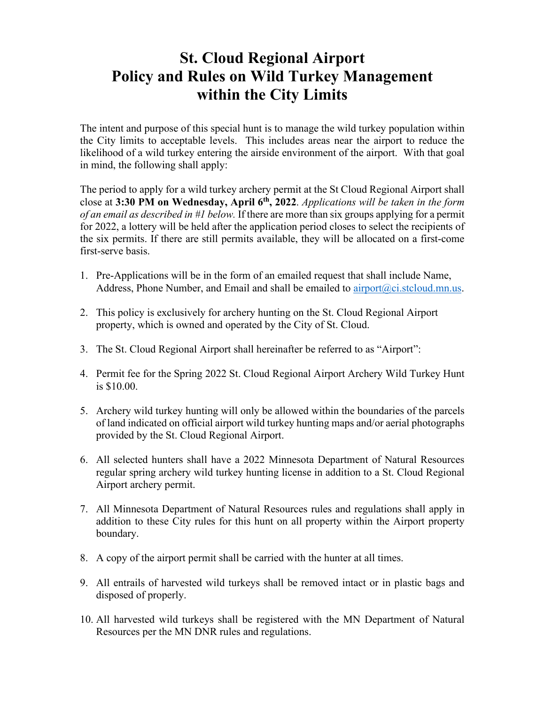## **St. Cloud Regional Airport Policy and Rules on Wild Turkey Management within the City Limits**

The intent and purpose of this special hunt is to manage the wild turkey population within the City limits to acceptable levels. This includes areas near the airport to reduce the likelihood of a wild turkey entering the airside environment of the airport. With that goal in mind, the following shall apply:

The period to apply for a wild turkey archery permit at the St Cloud Regional Airport shall close at **3:30 PM on Wednesday, April 6th, 2022**. *Applications will be taken in the form of an email as described in #1 below.* If there are more than six groups applying for a permit for 2022, a lottery will be held after the application period closes to select the recipients of the six permits. If there are still permits available, they will be allocated on a first-come first-serve basis.

- 1. Pre-Applications will be in the form of an emailed request that shall include Name, Address, Phone Number, and Email and shall be emailed to airport $(\partial_{\mathcal{C}}i$ .stcloud.mn.us.
- 2. This policy is exclusively for archery hunting on the St. Cloud Regional Airport property, which is owned and operated by the City of St. Cloud.
- 3. The St. Cloud Regional Airport shall hereinafter be referred to as "Airport":
- 4. Permit fee for the Spring 2022 St. Cloud Regional Airport Archery Wild Turkey Hunt is \$10.00.
- 5. Archery wild turkey hunting will only be allowed within the boundaries of the parcels of land indicated on official airport wild turkey hunting maps and/or aerial photographs provided by the St. Cloud Regional Airport.
- 6. All selected hunters shall have a 2022 Minnesota Department of Natural Resources regular spring archery wild turkey hunting license in addition to a St. Cloud Regional Airport archery permit.
- 7. All Minnesota Department of Natural Resources rules and regulations shall apply in addition to these City rules for this hunt on all property within the Airport property boundary.
- 8. A copy of the airport permit shall be carried with the hunter at all times.
- 9. All entrails of harvested wild turkeys shall be removed intact or in plastic bags and disposed of properly.
- 10. All harvested wild turkeys shall be registered with the MN Department of Natural Resources per the MN DNR rules and regulations.